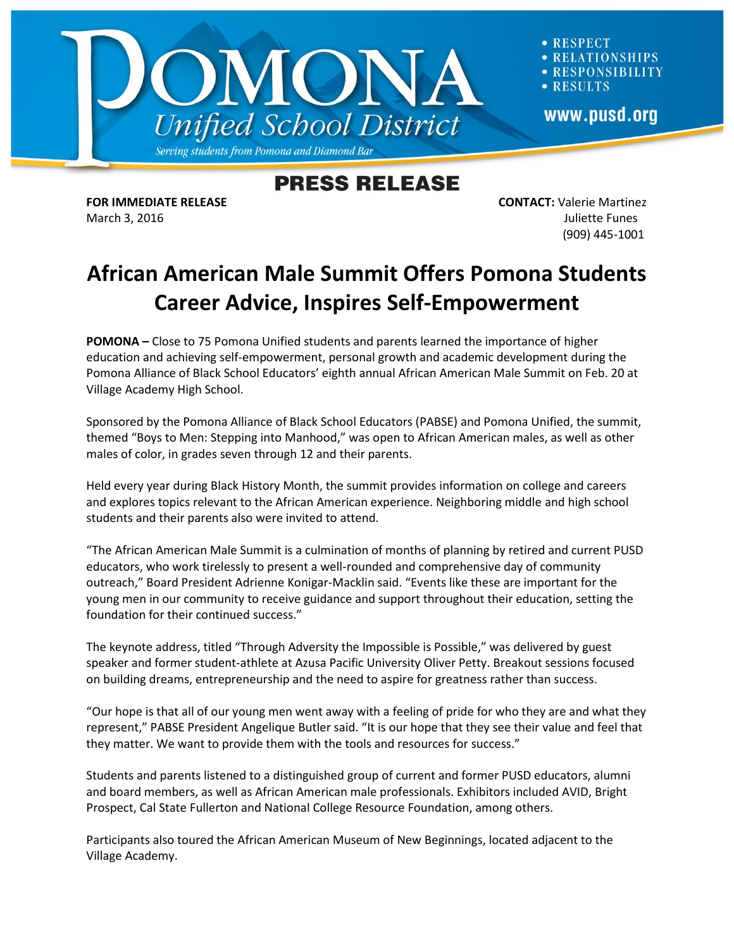

**RESPECT LATIONSHIPS** RESPONSIBILITY **RESULTS** www.pusd.org

## **PRESS RELEASE**

**FOR IMMEDIATE RELEASE CONTACT:** Valerie Martinez March 3, 2016 **Juliette Funes** (909) 445-1001

## **African American Male Summit Offers Pomona Students Career Advice, Inspires Self-Empowerment**

**POMONA –** Close to 75 Pomona Unified students and parents learned the importance of higher education and achieving self-empowerment, personal growth and academic development during the Pomona Alliance of Black School Educators' eighth annual African American Male Summit on Feb. 20 at Village Academy High School.

Sponsored by the Pomona Alliance of Black School Educators (PABSE) and Pomona Unified, the summit, themed "Boys to Men: Stepping into Manhood," was open to African American males, as well as other males of color, in grades seven through 12 and their parents.

Held every year during Black History Month, the summit provides information on college and careers and explores topics relevant to the African American experience. Neighboring middle and high school students and their parents also were invited to attend.

"The African American Male Summit is a culmination of months of planning by retired and current PUSD educators, who work tirelessly to present a well-rounded and comprehensive day of community outreach," Board President Adrienne Konigar-Macklin said. "Events like these are important for the young men in our community to receive guidance and support throughout their education, setting the foundation for their continued success."

The keynote address, titled "Through Adversity the Impossible is Possible," was delivered by guest speaker and former student-athlete at Azusa Pacific University Oliver Petty. Breakout sessions focused on building dreams, entrepreneurship and the need to aspire for greatness rather than success.

"Our hope is that all of our young men went away with a feeling of pride for who they are and what they represent," PABSE President Angelique Butler said. "It is our hope that they see their value and feel that they matter. We want to provide them with the tools and resources for success."

Students and parents listened to a distinguished group of current and former PUSD educators, alumni and board members, as well as African American male professionals. Exhibitors included AVID, Bright Prospect, Cal State Fullerton and National College Resource Foundation, among others.

Participants also toured the African American Museum of New Beginnings, located adjacent to the Village Academy.